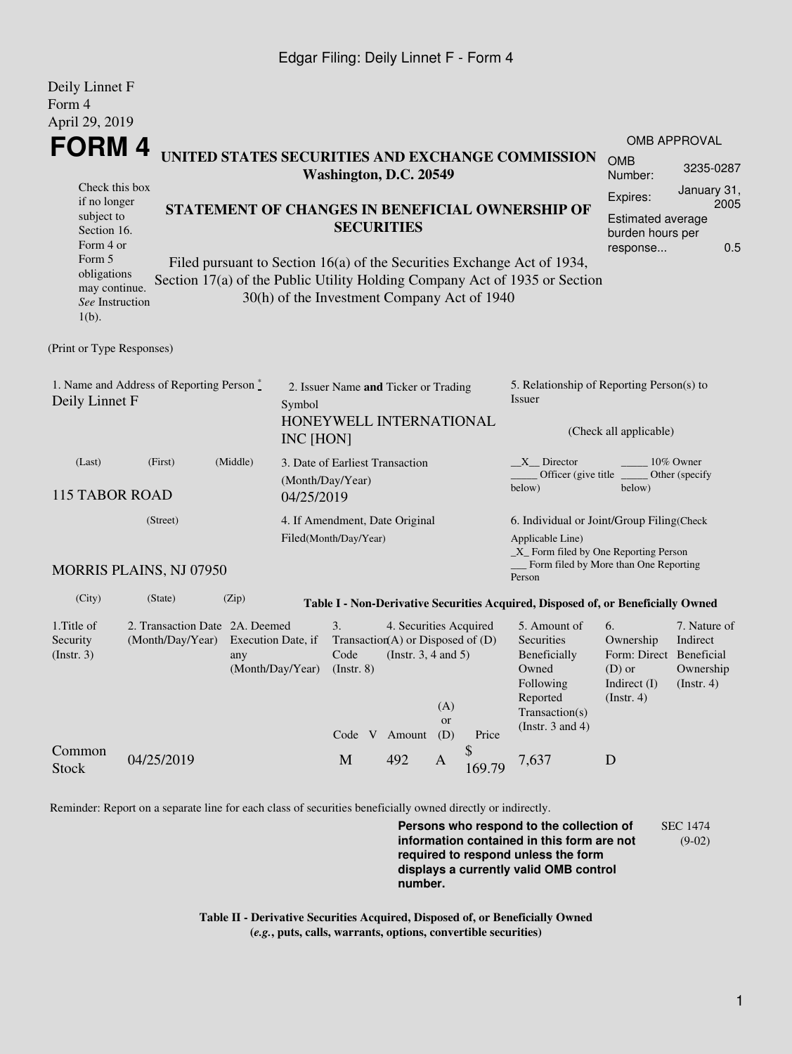## Edgar Filing: Deily Linnet F - Form 4

| Deily Linnet F                                                                                                                                          |                                |          |                    |                                             |                                                                 |              |                                              |                                                                                  |                                      |              |  |  |
|---------------------------------------------------------------------------------------------------------------------------------------------------------|--------------------------------|----------|--------------------|---------------------------------------------|-----------------------------------------------------------------|--------------|----------------------------------------------|----------------------------------------------------------------------------------|--------------------------------------|--------------|--|--|
| Form 4                                                                                                                                                  |                                |          |                    |                                             |                                                                 |              |                                              |                                                                                  |                                      |              |  |  |
| April 29, 2019                                                                                                                                          |                                |          |                    |                                             |                                                                 |              |                                              |                                                                                  |                                      |              |  |  |
| <b>FORM4</b>                                                                                                                                            |                                |          |                    |                                             |                                                                 |              |                                              |                                                                                  | <b>OMB APPROVAL</b>                  |              |  |  |
| UNITED STATES SECURITIES AND EXCHANGE COMMISSION<br>Washington, D.C. 20549                                                                              |                                |          |                    |                                             |                                                                 |              |                                              |                                                                                  | <b>OMB</b><br>Number:                | 3235-0287    |  |  |
| Check this box                                                                                                                                          |                                |          |                    |                                             |                                                                 |              |                                              |                                                                                  |                                      | January 31,  |  |  |
| if no longer                                                                                                                                            |                                |          |                    |                                             | STATEMENT OF CHANGES IN BENEFICIAL OWNERSHIP OF                 | Expires:     | 2005                                         |                                                                                  |                                      |              |  |  |
| subject to<br><b>SECURITIES</b><br>Section 16.                                                                                                          |                                |          |                    |                                             |                                                                 |              | <b>Estimated average</b><br>burden hours per |                                                                                  |                                      |              |  |  |
|                                                                                                                                                         | Form 4 or                      |          |                    |                                             |                                                                 |              |                                              |                                                                                  | response                             | 0.5          |  |  |
| Form 5                                                                                                                                                  |                                |          |                    |                                             |                                                                 |              |                                              | Filed pursuant to Section 16(a) of the Securities Exchange Act of 1934,          |                                      |              |  |  |
| obligations<br>Section 17(a) of the Public Utility Holding Company Act of 1935 or Section<br>may continue.                                              |                                |          |                    |                                             |                                                                 |              |                                              |                                                                                  |                                      |              |  |  |
| See Instruction                                                                                                                                         |                                |          |                    | 30(h) of the Investment Company Act of 1940 |                                                                 |              |                                              |                                                                                  |                                      |              |  |  |
| $1(b)$ .                                                                                                                                                |                                |          |                    |                                             |                                                                 |              |                                              |                                                                                  |                                      |              |  |  |
| (Print or Type Responses)                                                                                                                               |                                |          |                    |                                             |                                                                 |              |                                              |                                                                                  |                                      |              |  |  |
|                                                                                                                                                         |                                |          |                    |                                             |                                                                 |              |                                              |                                                                                  |                                      |              |  |  |
| 1. Name and Address of Reporting Person $\stackrel{*}{\mathbb{L}}$<br>5. Relationship of Reporting Person(s) to<br>2. Issuer Name and Ticker or Trading |                                |          |                    |                                             |                                                                 |              |                                              |                                                                                  |                                      |              |  |  |
| Deily Linnet F<br>Symbol                                                                                                                                |                                |          |                    |                                             |                                                                 |              |                                              | Issuer                                                                           |                                      |              |  |  |
|                                                                                                                                                         |                                |          |                    | HONEYWELL INTERNATIONAL                     |                                                                 |              |                                              | (Check all applicable)                                                           |                                      |              |  |  |
|                                                                                                                                                         |                                |          |                    | INC [HON]                                   |                                                                 |              |                                              |                                                                                  |                                      |              |  |  |
| (Last)                                                                                                                                                  | (First)                        | (Middle) |                    | 3. Date of Earliest Transaction             |                                                                 |              |                                              | $X$ Director                                                                     |                                      | 10% Owner    |  |  |
|                                                                                                                                                         |                                |          |                    | (Month/Day/Year)                            |                                                                 |              |                                              | Officer (give title)<br>Other (specify)<br>below)<br>below)                      |                                      |              |  |  |
| <b>115 TABOR ROAD</b>                                                                                                                                   |                                |          |                    | 04/25/2019                                  |                                                                 |              |                                              |                                                                                  |                                      |              |  |  |
| (Street)                                                                                                                                                |                                |          |                    | 4. If Amendment, Date Original              |                                                                 |              |                                              | 6. Individual or Joint/Group Filing(Check                                        |                                      |              |  |  |
|                                                                                                                                                         |                                |          |                    | Filed(Month/Day/Year)                       |                                                                 |              |                                              | Applicable Line)<br>$\_X$ Form filed by One Reporting Person                     |                                      |              |  |  |
|                                                                                                                                                         |                                |          |                    |                                             |                                                                 |              |                                              | Form filed by More than One Reporting                                            |                                      |              |  |  |
|                                                                                                                                                         | <b>MORRIS PLAINS, NJ 07950</b> |          |                    |                                             |                                                                 |              |                                              | Person                                                                           |                                      |              |  |  |
| (City)                                                                                                                                                  | (State)                        | (Zip)    |                    |                                             |                                                                 |              |                                              | Table I - Non-Derivative Securities Acquired, Disposed of, or Beneficially Owned |                                      |              |  |  |
| 1. Title of                                                                                                                                             | 2. Transaction Date 2A. Deemed |          |                    | 3.                                          | 4. Securities Acquired                                          |              |                                              | 5. Amount of                                                                     | 6.                                   | 7. Nature of |  |  |
| Security<br>(Insert. 3)                                                                                                                                 | (Month/Day/Year)               |          | Execution Date, if | Code                                        | Transaction(A) or Disposed of $(D)$<br>(Instr. $3, 4$ and $5$ ) |              |                                              | Securities<br>Beneficially                                                       | Ownership<br>Form: Direct Beneficial | Indirect     |  |  |
|                                                                                                                                                         |                                | any      | (Month/Day/Year)   | $($ Instr. $8)$                             |                                                                 |              |                                              | Owned                                                                            | $(D)$ or                             | Ownership    |  |  |
|                                                                                                                                                         |                                |          |                    |                                             |                                                                 |              |                                              | Following                                                                        | Indirect (I)                         | (Insert. 4)  |  |  |
|                                                                                                                                                         |                                |          |                    |                                             |                                                                 | (A)          |                                              | Reported<br>Transaction(s)                                                       | (Insert. 4)                          |              |  |  |
|                                                                                                                                                         |                                |          |                    |                                             |                                                                 | or           |                                              | (Instr. $3$ and $4$ )                                                            |                                      |              |  |  |
| Common                                                                                                                                                  |                                |          |                    | Code V                                      | Amount                                                          | (D)          | Price<br>\$                                  |                                                                                  |                                      |              |  |  |
| <b>Stock</b>                                                                                                                                            | 04/25/2019                     |          |                    | $\mathbf M$                                 | 492                                                             | $\mathbf{A}$ | 169.79                                       | 7,637                                                                            | D                                    |              |  |  |
|                                                                                                                                                         |                                |          |                    |                                             |                                                                 |              |                                              |                                                                                  |                                      |              |  |  |

Reminder: Report on a separate line for each class of securities beneficially owned directly or indirectly.

**Persons who respond to the collection of information contained in this form are not required to respond unless the form displays a currently valid OMB control number.** SEC 1474 (9-02)

**Table II - Derivative Securities Acquired, Disposed of, or Beneficially Owned (***e.g.***, puts, calls, warrants, options, convertible securities)**